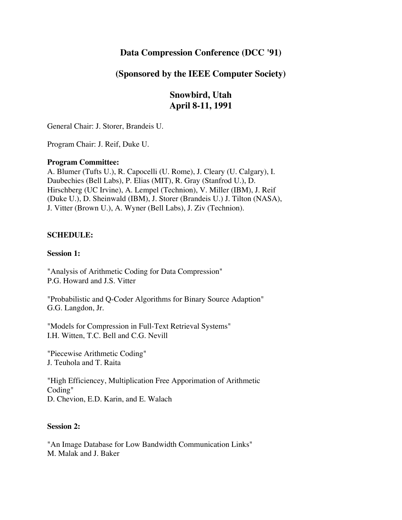# **Data Compression Conference (DCC '91)**

# **(Sponsored by the IEEE Computer Society)**

# **Snowbird, Utah April 8-11, 1991**

General Chair: J. Storer, Brandeis U.

Program Chair: J. Reif, Duke U.

# **Program Committee:**

A. Blumer (Tufts U.), R. Capocelli (U. Rome), J. Cleary (U. Calgary), I. Daubechies (Bell Labs), P. Elias (MIT), R. Gray (Stanfrod U.), D. Hirschberg (UC Irvine), A. Lempel (Technion), V. Miller (IBM), J. Reif (Duke U.), D. Sheinwald (IBM), J. Storer (Brandeis U.) J. Tilton (NASA), J. Vitter (Brown U.), A. Wyner (Bell Labs), J. Ziv (Technion).

# **SCHEDULE:**

# **Session 1:**

"Analysis of Arithmetic Coding for Data Compression" P.G. Howard and J.S. Vitter

"Probabilistic and Q-Coder Algorithms for Binary Source Adaption" G.G. Langdon, Jr.

"Models for Compression in Full-Text Retrieval Systems" I.H. Witten, T.C. Bell and C.G. Nevill

"Piecewise Arithmetic Coding" J. Teuhola and T. Raita

"High Efficiencey, Multiplication Free Apporimation of Arithmetic Coding" D. Chevion, E.D. Karin, and E. Walach

# **Session 2:**

"An Image Database for Low Bandwidth Communication Links" M. Malak and J. Baker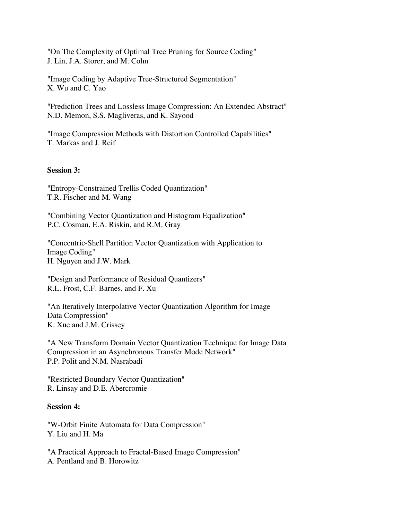"On The Complexity of Optimal Tree Pruning for Source Coding" J. Lin, J.A. Storer, and M. Cohn

"Image Coding by Adaptive Tree-Structured Segmentation" X. Wu and C. Yao

"Prediction Trees and Lossless Image Compression: An Extended Abstract" N.D. Memon, S.S. Magliveras, and K. Sayood

"Image Compression Methods with Distortion Controlled Capabilities" T. Markas and J. Reif

#### **Session 3:**

"Entropy-Constrained Trellis Coded Quantization" T.R. Fischer and M. Wang

"Combining Vector Quantization and Histogram Equalization" P.C. Cosman, E.A. Riskin, and R.M. Gray

"Concentric-Shell Partition Vector Quantization with Application to Image Coding" H. Nguyen and J.W. Mark

"Design and Performance of Residual Quantizers" R.L. Frost, C.F. Barnes, and F. Xu

"An Iteratively Interpolative Vector Quantization Algorithm for Image Data Compression" K. Xue and J.M. Crissey

"A New Transform Domain Vector Quantization Technique for Image Data Compression in an Asynchronous Transfer Mode Network" P.P. Polit and N.M. Nasrabadi

"Restricted Boundary Vector Quantization" R. Linsay and D.E. Abercromie

#### **Session 4:**

"W-Orbit Finite Automata for Data Compression" Y. Liu and H. Ma

"A Practical Approach to Fractal-Based Image Compression" A. Pentland and B. Horowitz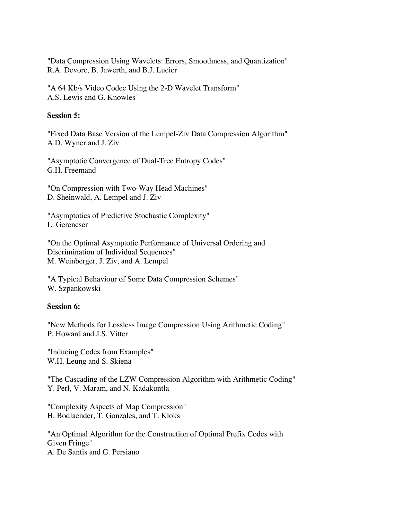"Data Compression Using Wavelets: Errors, Smoothness, and Quantization" R.A. Devore, B. Jawerth, and B.J. Lucier

"A 64 Kb/s Video Codec Using the 2-D Wavelet Transform" A.S. Lewis and G. Knowles

# **Session 5:**

"Fixed Data Base Version of the Lempel-Ziv Data Compression Algorithm" A.D. Wyner and J. Ziv

"Asymptotic Convergence of Dual-Tree Entropy Codes" G.H. Freemand

"On Compression with Two-Way Head Machines" D. Sheinwald, A. Lempel and J. Ziv

"Asymptotics of Predictive Stochastic Complexity" L. Gerencser

"On the Optimal Asymptotic Performance of Universal Ordering and Discrimination of Individual Sequences" M. Weinberger, J. Ziv, and A. Lempel

"A Typical Behaviour of Some Data Compression Schemes" W. Szpankowski

# **Session 6:**

"New Methods for Lossless Image Compression Using Arithmetic Coding" P. Howard and J.S. Vitter

"Inducing Codes from Examples" W.H. Leung and S. Skiena

"The Cascading of the LZW Compression Algorithm with Arithmetic Coding" Y. Perl, V. Maram, and N. Kadakuntla

"Complexity Aspects of Map Compression" H. Bodlaender, T. Gonzales, and T. Kloks

"An Optimal Algorithm for the Construction of Optimal Prefix Codes with Given Fringe" A. De Santis and G. Persiano